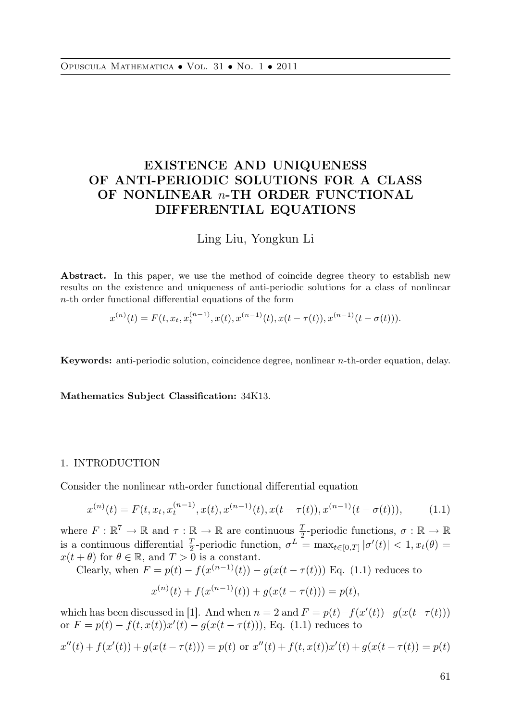# EXISTENCE AND UNIQUENESS OF ANTI-PERIODIC SOLUTIONS FOR A CLASS OF NONLINEAR *n*-TH ORDER FUNCTIONAL DIFFERENTIAL EQUATIONS

 $\frac{1}{2}$   $\frac{1}{2}$   $\frac{1}{2}$   $\frac{1}{2}$   $\frac{1}{2}$   $\frac{1}{2}$   $\frac{1}{2}$   $\frac{1}{2}$   $\frac{1}{2}$   $\frac{1}{2}$   $\frac{1}{2}$   $\frac{1}{2}$   $\frac{1}{2}$   $\frac{1}{2}$   $\frac{1}{2}$   $\frac{1}{2}$   $\frac{1}{2}$   $\frac{1}{2}$   $\frac{1}{2}$   $\frac{1}{2}$   $\frac{1}{2}$   $\frac{1}{2}$ 

Abstract. In this paper, we use the method of coincide degree theory to establish new results on the existence and uniqueness of anti-periodic solutions for a class of nonlinear n-th order functional differential equations of the form

$$
x^{(n)}(t) = F(t, x_t, x_t^{(n-1)}, x(t), x^{(n-1)}(t), x(t - \tau(t)), x^{(n-1)}(t - \sigma(t))).
$$

Keywords: anti-periodic solution, coincidence degree, nonlinear n-th-order equation, delay.

Mathematics Subject Classification: 34K13.

## 1. INTRODUCTION

Consider the nonlinear nth-order functional differential equation

$$
x^{(n)}(t) = F(t, x_t, x_t^{(n-1)}, x(t), x^{(n-1)}(t), x(t - \tau(t)), x^{(n-1)}(t - \sigma(t))),
$$
 (1.1)

where  $F: \mathbb{R}^7 \to \mathbb{R}$  and  $\tau: \mathbb{R} \to \mathbb{R}$  are continuous  $\frac{T}{2}$ -periodic functions,  $\sigma: \mathbb{R} \to \mathbb{R}$ is a continuous differential  $\frac{T}{2}$ -periodic function,  $\sigma^L = \max_{t \in [0,T]} |\sigma'(t)| < 1, x_t(\theta) =$  $x(t + \theta)$  for  $\theta \in \mathbb{R}$ , and  $T > 0$  is a constant.

Clearly, when  $F = p(t) - f(x^{(n-1)}(t)) - g(x(t - \tau(t)))$  Eq. (1.1) reduces to

$$
x^{(n)}(t) + f(x^{(n-1)}(t)) + g(x(t - \tau(t))) = p(t),
$$

which has been discussed in [1]. And when  $n = 2$  and  $F = p(t) - f(x'(t)) - g(x(t-\tau(t)))$ or  $F = p(t) - f(t, x(t))x'(t) - g(x(t - \tau(t))),$  Eq. (1.1) reduces to

$$
x''(t) + f(x'(t)) + g(x(t - \tau(t))) = p(t) \text{ or } x''(t) + f(t, x(t))x'(t) + g(x(t - \tau(t))) = p(t)
$$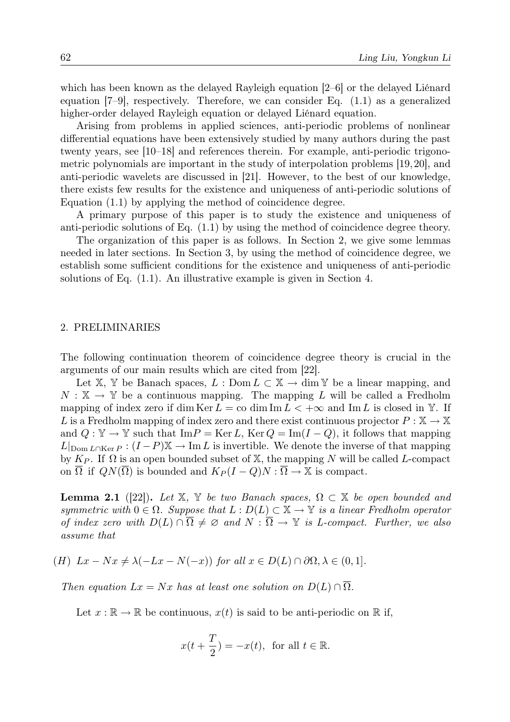which has been known as the delayed Rayleigh equation [2–6] or the delayed Liénard equation [7–9], respectively. Therefore, we can consider Eq. (1.1) as a generalized higher-order delayed Rayleigh equation or delayed Liénard equation.

Arising from problems in applied sciences, anti-periodic problems of nonlinear differential equations have been extensively studied by many authors during the past twenty years, see [10–18] and references therein. For example, anti-periodic trigonometric polynomials are important in the study of interpolation problems [19, 20], and anti-periodic wavelets are discussed in [21]. However, to the best of our knowledge, there exists few results for the existence and uniqueness of anti-periodic solutions of Equation (1.1) by applying the method of coincidence degree.

A primary purpose of this paper is to study the existence and uniqueness of anti-periodic solutions of Eq. (1.1) by using the method of coincidence degree theory.

The organization of this paper is as follows. In Section 2, we give some lemmas needed in later sections. In Section 3, by using the method of coincidence degree, we establish some sufficient conditions for the existence and uniqueness of anti-periodic solutions of Eq. (1.1). An illustrative example is given in Section 4.

### 2. PRELIMINARIES

The following continuation theorem of coincidence degree theory is crucial in the arguments of our main results which are cited from [22].

Let X, Y be Banach spaces,  $L : \text{Dom } L \subset X \to \text{dim } Y$  be a linear mapping, and  $N : \mathbb{X} \to \mathbb{Y}$  be a continuous mapping. The mapping L will be called a Fredholm mapping of index zero if dim Ker  $L = \infty$  dim Im  $L < +\infty$  and Im L is closed in Y. If L is a Fredholm mapping of index zero and there exist continuous projector  $P : \mathbb{X} \to \mathbb{X}$ and  $Q : \mathbb{Y} \to \mathbb{Y}$  such that Im $P = \text{Ker } L$ ,  $\text{Ker } Q = \text{Im}(I - Q)$ , it follows that mapping  $L|_{\text{Dom }L\cap\text{Ker }P}: (I-P)\mathbb{X} \to \text{Im }L$  is invertible. We denote the inverse of that mapping by  $K_P$ . If  $\Omega$  is an open bounded subset of X, the mapping N will be called L-compact on  $\Omega$  if  $QN(\Omega)$  is bounded and  $K_P(I-Q)N:\overline{\Omega}\to\mathbb{X}$  is compact.

**Lemma 2.1** ([22]). *Let* X, Y *be two Banach spaces*,  $\Omega \subset X$  *be open bounded and symmetric with*  $0 \in \Omega$ *. Suppose that*  $L : D(L) \subset \mathbb{X} \to \mathbb{Y}$  *is a linear Fredholm operator of index zero with*  $D(L) \cap \overline{\Omega} \neq \emptyset$  and  $N : \overline{\Omega} \to \mathbb{Y}$  *is L-compact. Further, we also assume that*

(H) 
$$
Lx - Nx \neq \lambda(-Lx - N(-x))
$$
 for all  $x \in D(L) \cap \partial\Omega, \lambda \in (0, 1]$ .

*Then equation*  $Lx = Nx$  *has at least one solution on*  $D(L) \cap \overline{\Omega}$ *.* 

Let  $x : \mathbb{R} \to \mathbb{R}$  be continuous,  $x(t)$  is said to be anti-periodic on  $\mathbb{R}$  if,

$$
x(t+\frac{T}{2}) = -x(t), \text{ for all } t \in \mathbb{R}.
$$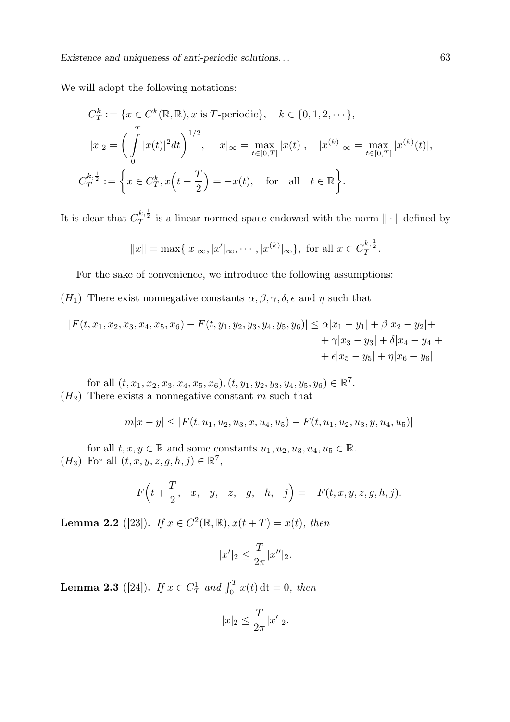We will adopt the following notations:

$$
C_T^k := \{ x \in C^k(\mathbb{R}, \mathbb{R}), x \text{ is } T\text{-periodic} \}, \quad k \in \{0, 1, 2, \cdots \},
$$
  

$$
|x|_2 = \left( \int_0^T |x(t)|^2 dt \right)^{1/2}, \quad |x|_\infty = \max_{t \in [0, T]} |x(t)|, \quad |x^{(k)}|_\infty = \max_{t \in [0, T]} |x^{(k)}(t)|,
$$
  

$$
C_T^{k, \frac{1}{2}} := \left\{ x \in C_T^k, x\left(t + \frac{T}{2}\right) = -x(t), \quad \text{for all} \quad t \in \mathbb{R} \right\}.
$$

It is clear that  $C_T^{k, \frac{1}{2}}$  is a linear normed space endowed with the norm  $\|\cdot\|$  defined by

$$
||x|| = \max\{|x|_{\infty}, |x'|_{\infty}, \cdots, |x^{(k)}|_{\infty}\},
$$
 for all  $x \in C_T^{k, \frac{1}{2}}$ .

For the sake of convenience, we introduce the following assumptions:

(H<sub>1</sub>) There exist nonnegative constants  $\alpha, \beta, \gamma, \delta, \epsilon$  and  $\eta$  such that

$$
|F(t, x_1, x_2, x_3, x_4, x_5, x_6) - F(t, y_1, y_2, y_3, y_4, y_5, y_6)| \leq \alpha |x_1 - y_1| + \beta |x_2 - y_2| +
$$
  
+  $\gamma |x_3 - y_3| + \delta |x_4 - y_4| +$   
+  $\epsilon |x_5 - y_5| + \eta |x_6 - y_6|$ 

for all  $(t, x_1, x_2, x_3, x_4, x_5, x_6), (t, y_1, y_2, y_3, y_4, y_5, y_6) \in \mathbb{R}^7$ .  $(H<sub>2</sub>)$  There exists a nonnegative constant m such that

$$
m|x-y| \le |F(t, u_1, u_2, u_3, x, u_4, u_5) - F(t, u_1, u_2, u_3, y, u_4, u_5)|
$$

for all  $t, x, y \in \mathbb{R}$  and some constants  $u_1, u_2, u_3, u_4, u_5 \in \mathbb{R}$ . ( $H_3$ ) For all  $(t, x, y, z, g, h, j) \in \mathbb{R}^7$ ,

$$
F\Big(t + \frac{T}{2}, -x, -y, -z, -g, -h, -j\Big) = -F(t, x, y, z, g, h, j).
$$

**Lemma 2.2** ([23]). *If*  $x \in C^2(\mathbb{R}, \mathbb{R}), x(t + T) = x(t)$ *, then* 

$$
|x'|_2 \leq \frac{T}{2\pi}|x''|_2.
$$

**Lemma 2.3** ([24]). *If*  $x \in C_T^1$  *and*  $\int_0^T x(t) dt = 0$ *, then* 

$$
|x|_2 \le \frac{T}{2\pi}|x'|_2.
$$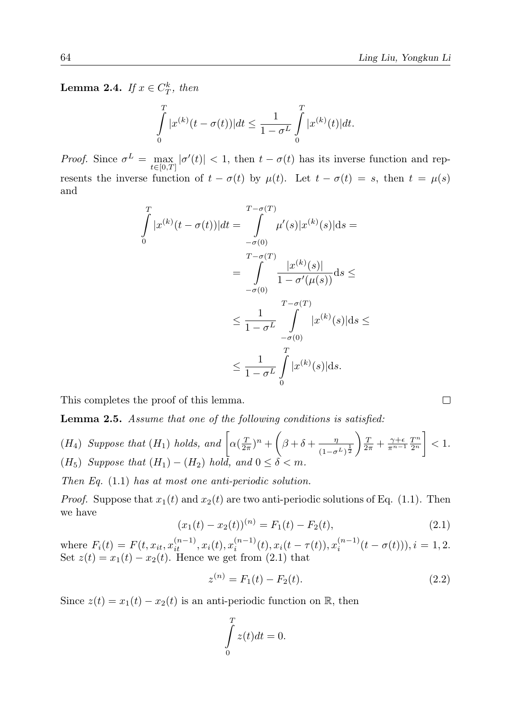**Lemma 2.4.** *If*  $x \in C_T^k$ *, then* 

$$
\int_{0}^{T} |x^{(k)}(t - \sigma(t))| dt \le \frac{1}{1 - \sigma^{L}} \int_{0}^{T} |x^{(k)}(t)| dt.
$$

*Proof.* Since  $\sigma^L = \max$  $\max_{t \in [0,T]} |\sigma'(t)| < 1$ , then  $t - \sigma(t)$  has its inverse function and represents the inverse function of  $t - \sigma(t)$  by  $\mu(t)$ . Let  $t - \sigma(t) = s$ , then  $t = \mu(s)$ and

$$
\int_{0}^{T} |x^{(k)}(t - \sigma(t))| dt = \int_{-\sigma(0)}^{\sigma(T)} \mu'(s) |x^{(k)}(s)| ds =
$$
\n
$$
= \int_{-\sigma(0)}^{\sigma(T)} \frac{|x^{(k)}(s)|}{1 - \sigma'(\mu(s))} ds \le
$$
\n
$$
\le \frac{1}{1 - \sigma^{L}} \int_{-\sigma(0)}^{\sigma(T)} |x^{(k)}(s)| ds \le
$$
\n
$$
\le \frac{1}{1 - \sigma^{L}} \int_{0}^{T} |x^{(k)}(s)| ds.
$$

This completes the proof of this lemma.

Lemma 2.5. *Assume that one of the following conditions is satisfied:*

(H<sub>4</sub>) Suppose that (H<sub>1</sub>) holds, and 
$$
\left[\alpha(\frac{T}{2\pi})^n + \left(\beta + \delta + \frac{\eta}{(1-\sigma^L)^{\frac{1}{2}}}\right) \frac{T}{2\pi} + \frac{\gamma+\epsilon}{\pi^{n-1}} \frac{T^n}{2^n}\right] < 1.
$$
  
(H<sub>5</sub>) Suppose that (H<sub>1</sub>) - (H<sub>2</sub>) hold, and  $0 \le \delta < m$ .

*Then Eq.* (1.1) *has at most one anti-periodic solution.*

*Proof.* Suppose that  $x_1(t)$  and  $x_2(t)$  are two anti-periodic solutions of Eq. (1.1). Then we have

$$
(x_1(t) - x_2(t))^{(n)} = F_1(t) - F_2(t),
$$
\n(2.1)

where  $F_i(t) = F(t, x_{it}, x_{it-1}^{(n-1)}, x_i(t), x_i^{(n-1)}(t), x_i(t - \tau(t)), x_i^{(n-1)}(t - \sigma(t))), i = 1, 2$ . Set  $z(t) = x_1(t) - x_2(t)$ . Hence we get from  $(2.1)$  that

$$
z^{(n)} = F_1(t) - F_2(t). \tag{2.2}
$$

Since  $z(t) = x_1(t) - x_2(t)$  is an anti-periodic function on R, then

$$
\int\limits_0^T z(t)dt = 0.
$$

 $\Box$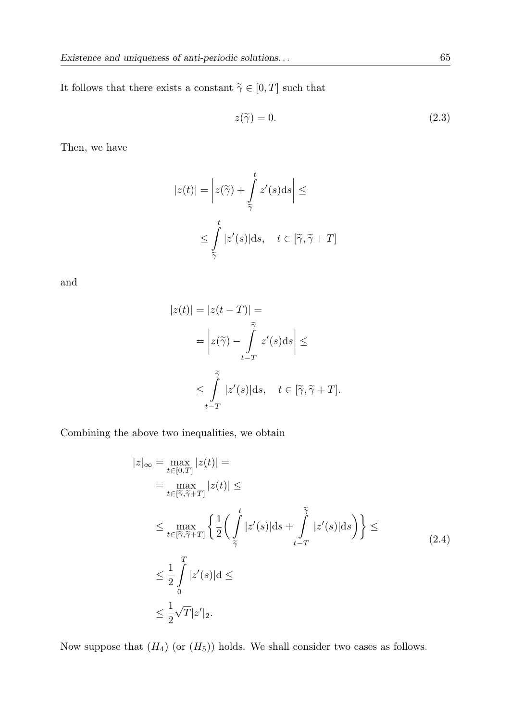It follows that there exists a constant  $\widetilde{\gamma} \in [0,T]$  such that

$$
z(\tilde{\gamma}) = 0. \tag{2.3}
$$

Then, we have

$$
|z(t)| = \left| z(\widetilde{\gamma}) + \int_{\widetilde{\gamma}}^t z'(s) ds \right| \le
$$
  

$$
\le \int_{\widetilde{\gamma}}^t |z'(s)| ds, \quad t \in [\widetilde{\gamma}, \widetilde{\gamma} + T]
$$

and

$$
|z(t)| = |z(t - T)| =
$$
  
= 
$$
\left| z(\tilde{\gamma}) - \int_{t - T}^{\tilde{\gamma}} z'(s) ds \right| \le
$$
  

$$
\leq \int_{t - T}^{\tilde{\gamma}} |z'(s)| ds, \quad t \in [\tilde{\gamma}, \tilde{\gamma} + T].
$$

Combining the above two inequalities, we obtain

$$
|z|_{\infty} = \max_{t \in [0,T]} |z(t)| =
$$
  
\n
$$
= \max_{t \in [\tilde{\gamma}, \tilde{\gamma} + T]} |z(t)| \le
$$
  
\n
$$
\le \max_{t \in [\tilde{\gamma}, \tilde{\gamma} + T]} \left\{ \frac{1}{2} \left( \int_{\tilde{\gamma}}^{t} |z'(s)| ds + \int_{t-T}^{\tilde{\gamma}} |z'(s)| ds \right) \right\} \le
$$
  
\n
$$
\le \frac{1}{2} \int_{0}^{T} |z'(s)| ds
$$
  
\n
$$
\le \frac{1}{2} \sqrt{T} |z'|_{2}.
$$
\n(2.4)

Now suppose that  $(H_4)$  (or  $(H_5)$ ) holds. We shall consider two cases as follows.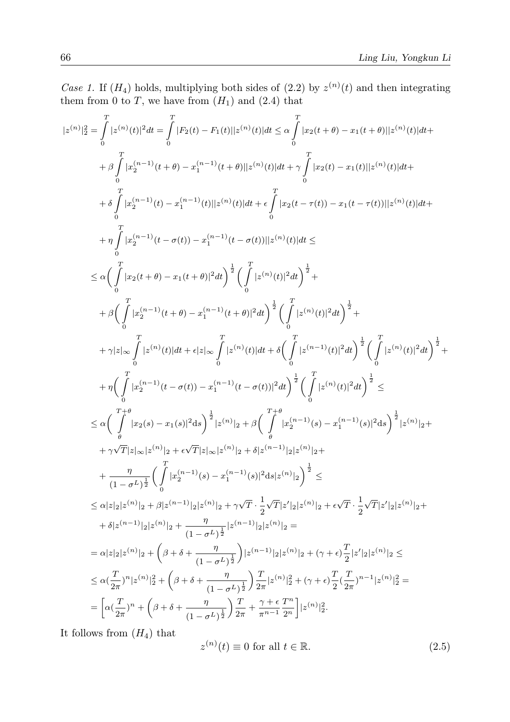*Case 1.* If  $(H_4)$  holds, multiplying both sides of  $(2.2)$  by  $z^{(n)}(t)$  and then integrating them from 0 to T, we have from  $(H_1)$  and (2.4) that

$$
\begin{split} |z^{(n)}|_{2}^{2}&=\int\limits_{0}^{T}|z^{(n)}(t)|^{2}dt=\int\limits_{0}^{T}|F_{2}(t)-F_{1}(t)||z^{(n)}(t)|dt\leq\alpha\int\limits_{0}^{T}|x_{2}(t+\theta)-x_{1}(t+\theta)||z^{(n)}(t)|dt+\\ &+\beta\int\limits_{0}^{T}|x_{2}^{(n-1)}(t+\theta)-x_{1}^{(n-1)}(t)||z^{(n)}(t)|dt+\gamma\int\limits_{0}^{T}|x_{2}(t)-x_{1}(t)||z^{(n)}(t)|dt+\\ &+\delta\int\limits_{0}^{T}|x_{2}^{(n-1)}(t)-x_{1}^{(n-1)}(t)||z^{(n)}(t)|dt+\epsilon\int\limits_{0}^{T}|x_{2}(t-\tau(t))-x_{1}(t-\tau(t))||z^{(n)}(t)|dt+\\ &+\eta\int\limits_{0}^{T}|x_{2}^{(n-1)}(t-\sigma(t))-x_{1}^{(n-1)}(t-\sigma(t))||z^{(n)}(t)|dt\leq\\ &\leq\alpha\Big(\int\limits_{0}^{T}|x_{2}(t+\theta)-x_{1}(t+\theta)|^{2}dt\Big)^{\frac{1}{2}}\Big(\int\limits_{0}^{T}|z^{(n)}(t)|^{2}dt\Big)^{\frac{1}{2}}+\\ &+\beta\Big(\int\limits_{0}^{T}|x_{2}^{(n-1)}(t+\theta)-x_{1}^{(n-1)}(t+\theta)|^{2}dt\Big)^{\frac{1}{2}}\Big(\int\limits_{0}^{T}|z^{(n)}(t)|^{2}dt\Big)^{\frac{1}{2}}+\\ &+\gamma|z|_{\infty}\int\limits_{0}^{T}|z^{(n)}(t)|dt+\epsilon|z|_{\infty}\int\limits_{0}^{T}|z^{(n)}(t)|dt+\delta\Big(\int\limits_{0}^{T}|z^{(n-1)}(t)|^{2}dt\Big)^{\frac{1}{2}}\Big(\int\limits_{0}^{T}|z^{(n)}(t)|^{2}dt\Big)^{\frac{1}{2}}+\\ &+\eta\Big(\int\limits_{0}^{T}|x_{2}^{(n-1)}(t-\sigma(t))-x_{1}^{(n-1)}(t-\sigma(t))|^{2}dt\Big)^{\frac{1}{2}}\Big(\int\limits_{0}^{T}|z^{(n)}(t)|^{2}dt\Big)^{\frac{1}{2}}\leq\\ &
$$

It follows from  $(H_4)$  that

$$
z^{(n)}(t) \equiv 0 \text{ for all } t \in \mathbb{R}.\tag{2.5}
$$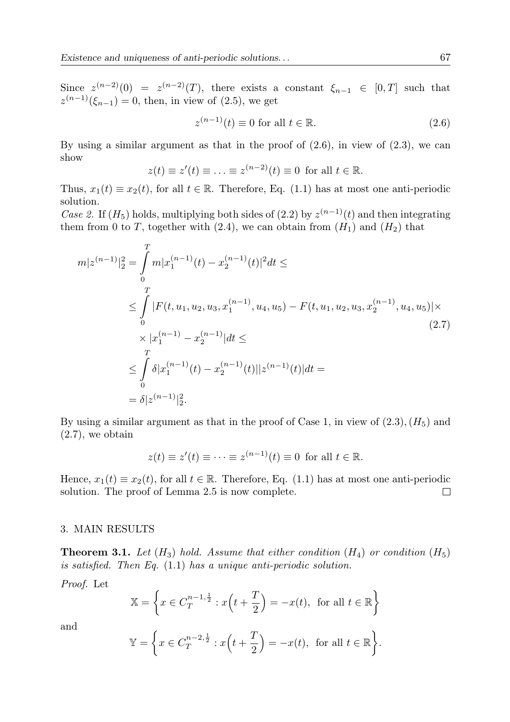Since  $z^{(n-2)}(0) = z^{(n-2)}(T)$ , there exists a constant  $\xi_{n-1} \in [0,T]$  such that  $z^{(n-1)}(\xi_{n-1})=0$ , then, in view of (2.5), we get

$$
z^{(n-1)}(t) \equiv 0 \text{ for all } t \in \mathbb{R}.\tag{2.6}
$$

By using a similar argument as that in the proof of  $(2.6)$ , in view of  $(2.3)$ , we can show

$$
z(t) \equiv z'(t) \equiv \ldots \equiv z^{(n-2)}(t) \equiv 0 \text{ for all } t \in \mathbb{R}.
$$

Thus,  $x_1(t) \equiv x_2(t)$ , for all  $t \in \mathbb{R}$ . Therefore, Eq. (1.1) has at most one anti-periodic solution.

*Case 2.* If  $(H_5)$  holds, multiplying both sides of  $(2.2)$  by  $z^{(n-1)}(t)$  and then integrating them from 0 to T, together with (2.4), we can obtain from  $(H_1)$  and  $(H_2)$  that

$$
m|z^{(n-1)}|_2^2 = \int_0^T m|x_1^{(n-1)}(t) - x_2^{(n-1)}(t)|^2 dt \le
$$
  
\n
$$
\leq \int_0^T |F(t, u_1, u_2, u_3, x_1^{(n-1)}, u_4, u_5) - F(t, u_1, u_2, u_3, x_2^{(n-1)}, u_4, u_5)| \times
$$
  
\n
$$
\times |x_1^{(n-1)} - x_2^{(n-1)}| dt \leq
$$
  
\n
$$
\leq \int_0^T \delta |x_1^{(n-1)}(t) - x_2^{(n-1)}(t)| |z^{(n-1)}(t)| dt =
$$
  
\n
$$
= \delta |z^{(n-1)}|_2^2.
$$
\n(2.7)

By using a similar argument as that in the proof of Case 1, in view of  $(2.3)$ ,  $(H_5)$  and  $(2.7)$ , we obtain

$$
z(t) \equiv z'(t) \equiv \cdots \equiv z^{(n-1)}(t) \equiv 0 \text{ for all } t \in \mathbb{R}.
$$

Hence,  $x_1(t) \equiv x_2(t)$ , for all  $t \in \mathbb{R}$ . Therefore, Eq. (1.1) has at most one anti-periodic solution. The proof of Lemma 2.5 is now complete. solution. The proof of Lemma 2.5 is now complete.

### 3. MAIN RESULTS

**Theorem 3.1.** *Let*  $(H_3)$  *hold. Assume that either condition*  $(H_4)$  *or condition*  $(H_5)$ *is satisfied. Then Eq.* (1.1) *has a unique anti-periodic solution.*

*Proof.* Let

$$
\mathbb{X} = \left\{ x \in C_T^{n-1, \frac{1}{2}} : x\left(t + \frac{T}{2}\right) = -x(t), \text{ for all } t \in \mathbb{R} \right\}
$$

and

$$
\mathbb{Y} = \left\{ x \in C_T^{n-2, \frac{1}{2}} : x(t + \frac{T}{2}) = -x(t), \text{ for all } t \in \mathbb{R} \right\}.
$$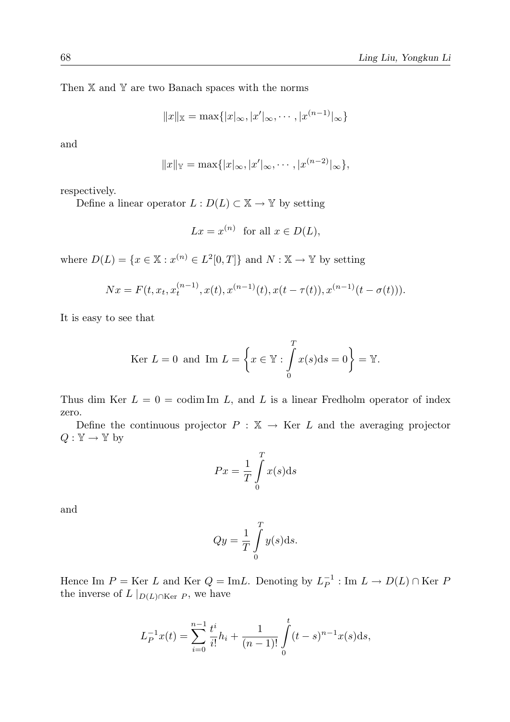Then  $X$  and  $Y$  are two Banach spaces with the norms

$$
||x||_{\mathbb{X}} = \max\{|x|_{\infty}, |x'|_{\infty}, \cdots, |x^{(n-1)}|_{\infty}\}
$$

and

$$
||x||_{{\mathbb{Y}}} = \max\{|x|_{\infty}, |x'|_{\infty}, \cdots, |x^{(n-2)}|_{\infty}\},\
$$

respectively.

Define a linear operator  $L : D(L) \subset \mathbb{X} \to \mathbb{Y}$  by setting

$$
Lx = x^{(n)} \text{ for all } x \in D(L),
$$

where  $D(L) = \{x \in \mathbb{X} : x^{(n)} \in L^2[0,T]\}$  and  $N : \mathbb{X} \to \mathbb{Y}$  by setting

$$
Nx = F(t, x_t, x_t^{(n-1)}, x(t), x^{(n-1)}(t), x(t - \tau(t)), x^{(n-1)}(t - \sigma(t))).
$$

It is easy to see that

$$
\text{Ker } L = 0 \text{ and } \text{Im } L = \left\{ x \in \mathbb{Y} : \int_{0}^{T} x(s) \, \mathrm{d}s = 0 \right\} = \mathbb{Y}.
$$

Thus dim Ker  $L = 0 = \text{codim Im } L$ , and L is a linear Fredholm operator of index zero.

Define the continuous projector  $P : \mathbb{X} \to \text{Ker } L$  and the averaging projector  $Q: \mathbb{Y} \to \mathbb{Y}$  by

$$
Px = \frac{1}{T} \int_{0}^{T} x(s) \mathrm{d}s
$$

and

$$
Qy = \frac{1}{T} \int_{0}^{T} y(s) \, \mathrm{d}s.
$$

Hence Im  $P = \text{Ker } L$  and  $\text{Ker } Q = \text{Im} L$ . Denoting by  $L_P^{-1} : \text{Im } L \to D(L) \cap \text{Ker } P$ the inverse of  $L |_{D(L) \cap \text{Ker } P}$ , we have

$$
L_P^{-1}x(t) = \sum_{i=0}^{n-1} \frac{t^i}{i!}h_i + \frac{1}{(n-1)!} \int_0^t (t-s)^{n-1}x(s)ds,
$$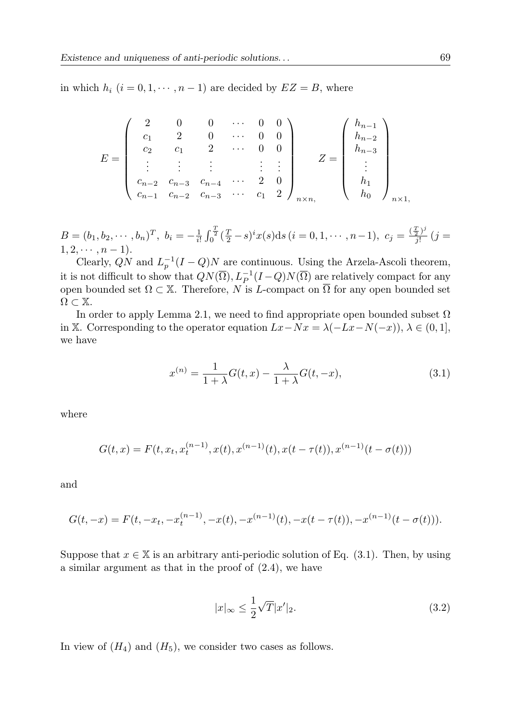in which  $h_i$   $(i = 0, 1, \dots, n - 1)$  are decided by  $EZ = B$ , where

$$
E = \begin{pmatrix} 2 & 0 & 0 & \cdots & 0 & 0 \\ c_1 & 2 & 0 & \cdots & 0 & 0 \\ c_2 & c_1 & 2 & \cdots & 0 & 0 \\ \vdots & \vdots & \vdots & & \vdots & \vdots \\ c_{n-2} & c_{n-3} & c_{n-4} & \cdots & 2 & 0 \\ c_{n-1} & c_{n-2} & c_{n-3} & \cdots & c_1 & 2 \end{pmatrix}_{n \times n, \qquad Z = \begin{pmatrix} h_{n-1} \\ h_{n-2} \\ h_{n-3} \\ \vdots \\ h_1 \\ h_0 \end{pmatrix}_{n \times 1, \qquad (n \times 1, 2 \times 2, 3 \times 3)}.
$$

 $B=(b_1, b_2, \cdots, b_n)^T$ ,  $b_i = -\frac{1}{i!} \int_0^{\frac{T}{2}} (\frac{T}{2}-s)^i x(s) ds$   $(i = 0, 1, \cdots, n-1)$ ,  $c_j = \frac{(\frac{T}{2})^j}{j!}$   $(j = j)$  $1, 2, \cdots, n-1$ ).

Clearly,  $\overline{QN}$  and  $L_p^{-1}(I-Q)N$  are continuous. Using the Arzela-Ascoli theorem, it is not difficult to show that  $QN(\overline{\Omega}), L_P^{-1}(I-Q)N(\overline{\Omega})$  are relatively compact for any open bounded set  $\Omega \subset \mathbb{X}$ . Therefore, N is L-compact on  $\overline{\Omega}$  for any open bounded set  $\Omega \subset \mathbb{X}$ .

In order to apply Lemma 2.1, we need to find appropriate open bounded subset  $\Omega$ in X. Corresponding to the operator equation  $Lx-Nx = \lambda(-Lx-N(-x)), \lambda \in (0,1],$ we have

$$
x^{(n)} = \frac{1}{1+\lambda}G(t,x) - \frac{\lambda}{1+\lambda}G(t,-x),\tag{3.1}
$$

where

$$
G(t, x) = F(t, x_t, x_t^{(n-1)}, x(t), x^{(n-1)}(t), x(t - \tau(t)), x^{(n-1)}(t - \sigma(t)))
$$

and

$$
G(t, -x) = F(t, -x_t, -x_t^{(n-1)}, -x(t), -x^{(n-1)}(t), -x(t - \tau(t)), -x^{(n-1)}(t - \sigma(t))).
$$

Suppose that  $x \in \mathbb{X}$  is an arbitrary anti-periodic solution of Eq. (3.1). Then, by using a similar argument as that in the proof of (2.4), we have

$$
|x|_{\infty} \le \frac{1}{2}\sqrt{T}|x'|_2.
$$
\n(3.2)

In view of  $(H_4)$  and  $(H_5)$ , we consider two cases as follows.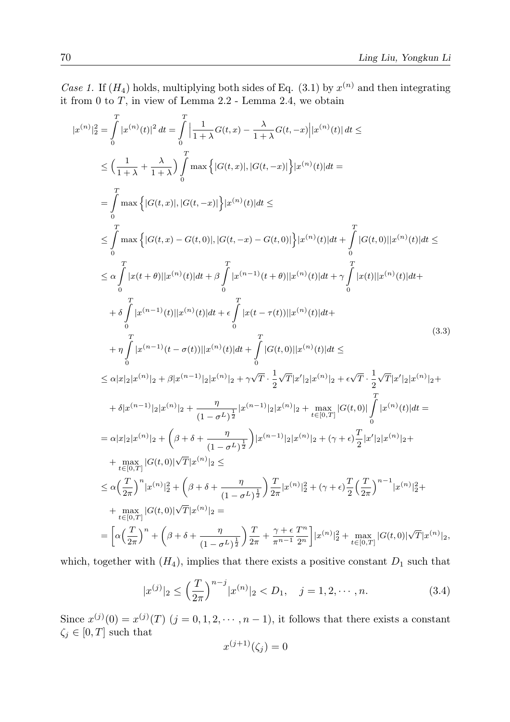*Case 1.* If  $(H_4)$  holds, multiplying both sides of Eq. (3.1) by  $x^{(n)}$  and then integrating it from 0 to  $T$ , in view of Lemma 2.2 - Lemma 2.4, we obtain

$$
|x^{(n)}|_{2}^{2} = \int_{0}^{T} |x^{(n)}(t)|^{2} dt = \int_{0}^{T} \left| \frac{1}{1+\lambda} G(t,x) - \frac{\lambda}{1+\lambda} G(t,-x) \right| |x^{(n)}(t)| dt \le
$$
  
\n
$$
\leq \left( \frac{1}{1+\lambda} + \frac{\lambda}{1+\lambda} \right) \int_{0}^{T} \max \left\{ |G(t,x)|, |G(t,-x)| \right\} |x^{(n)}(t)| dt =
$$
  
\n
$$
= \int_{0}^{T} \max \left\{ |G(t,x)|, |G(t,-x)| \right\} |x^{(n)}(t)| dt \le
$$
  
\n
$$
\leq \int_{0}^{T} \max \left\{ |G(t,x) - G(t,0)|, |G(t,-x) - G(t,0)| \right\} |x^{(n)}(t)| dt + \int_{0}^{T} |G(t,0)| |x^{(n)}(t)| dt \le
$$
  
\n
$$
\leq \alpha \int_{0}^{T} |x(t+\theta)| |x^{(n)}(t)| dt + \beta \int_{0}^{T} |x^{(n-1)}(t+\theta)| |x^{(n)}(t)| dt + \gamma \int_{0}^{T} |x(t)| |x^{(n)}(t)| dt +
$$
  
\n
$$
+ \delta \int_{0}^{T} |x^{(n-1)}(t)| |x^{(n)}(t)| dt + \epsilon \int_{0}^{T} |x(t-\tau(t))| |x^{(n)}(t)| dt +
$$
  
\n
$$
+ \eta \int_{0}^{T} |x^{(n-1)}(t-\sigma(t))| |x^{(n)}(t)| dt + \int_{0}^{T} |G(t,0)| |x^{(n)}(t)| dt \le
$$
  
\n
$$
\leq \alpha |x|_{2} |x^{(n)}|_{2} + \beta |x^{(n-1)}|_{2} |x^{(n)}|_{2} + \gamma \sqrt{T} \cdot \frac{1}{2} \sqrt{T} |x'|_{2} |x^{(n)}|_{2} + \epsilon \sqrt{T} \cdot \frac{1}{2} \sqrt{T} |x'|_{2} |x^{(n)}|_{2} +
$$
  
\n
$$
+ \delta |x^{(n-1)}|_{2} |x^{(n)}|_{2} + \frac{\eta}{(1-\sigma^{L})^{\frac{1}{2}}} |x^{(
$$

which, together with  $(H_4)$ , implies that there exists a positive constant  $D_1$  such that

$$
|x^{(j)}|_2 \le \left(\frac{T}{2\pi}\right)^{n-j} |x^{(n)}|_2 < D_1, \quad j = 1, 2, \cdots, n. \tag{3.4}
$$

Since  $x^{(j)}(0) = x^{(j)}(T)$   $(j = 0, 1, 2, \dots, n-1)$ , it follows that there exists a constant  $\zeta_j \in [0, T]$  such that

$$
x^{(j+1)}(\zeta_j) = 0
$$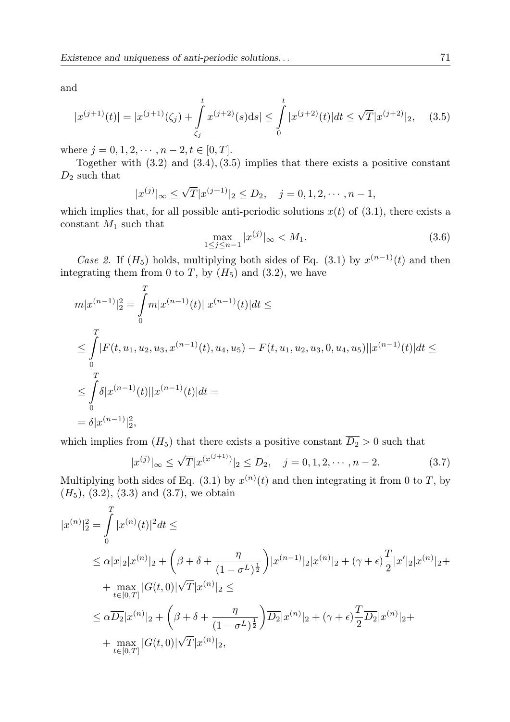and

$$
|x^{(j+1)}(t)| = |x^{(j+1)}(\zeta_j) + \int_{\zeta_j}^t x^{(j+2)}(s)ds| \le \int_0^t |x^{(j+2)}(t)|dt \le \sqrt{T}|x^{(j+2)}|_2, \quad (3.5)
$$

where  $j = 0, 1, 2, \dots, n-2, t \in [0, T].$ 

Together with (3.2) and (3.4),(3.5) implies that there exists a positive constant  $D_2$  such that

$$
|x^{(j)}|_{\infty} \le \sqrt{T} |x^{(j+1)}|_2 \le D_2, \quad j = 0, 1, 2, \cdots, n-1,
$$

which implies that, for all possible anti-periodic solutions  $x(t)$  of (3.1), there exists a constant  $M_1$  such that

$$
\max_{1 \le j \le n-1} |x^{(j)}|_{\infty} < M_1. \tag{3.6}
$$

*Case 2.* If  $(H_5)$  holds, multiplying both sides of Eq. (3.1) by  $x^{(n-1)}(t)$  and then integrating them from 0 to T, by  $(H_5)$  and  $(3.2)$ , we have

$$
m|x^{(n-1)}|_{2}^{2} = \int_{0}^{T} m|x^{(n-1)}(t)||x^{(n-1)}(t)|dt \le
$$
  
\n
$$
\leq \int_{0}^{T} |F(t, u_1, u_2, u_3, x^{(n-1)}(t), u_4, u_5) - F(t, u_1, u_2, u_3, 0, u_4, u_5)||x^{(n-1)}(t)|dt \le
$$
  
\n
$$
\leq \int_{0}^{T} \delta |x^{(n-1)}(t)||x^{(n-1)}(t)|dt =
$$
  
\n
$$
= \delta |x^{(n-1)}|_{2}^{2},
$$

which implies from  $(H_5)$  that there exists a positive constant  $\overline{D_2} > 0$  such that

$$
|x^{(j)}|_{\infty} \le \sqrt{T} |x^{(x^{(j+1)})}|_2 \le \overline{D_2}, \quad j = 0, 1, 2, \cdots, n-2.
$$
 (3.7)

Multiplying both sides of Eq. (3.1) by  $x^{(n)}(t)$  and then integrating it from 0 to T, by  $(H_5)$ ,  $(3.2)$ ,  $(3.3)$  and  $(3.7)$ , we obtain

$$
|x^{(n)}|_{2}^{2} = \int_{0}^{T} |x^{(n)}(t)|^{2} dt \le
$$
  
\n
$$
\leq \alpha |x|_{2} |x^{(n)}|_{2} + \left(\beta + \delta + \frac{\eta}{(1 - \sigma^{L})^{\frac{1}{2}}}\right) |x^{(n-1)}|_{2} |x^{(n)}|_{2} + (\gamma + \epsilon) \frac{T}{2} |x'|_{2} |x^{(n)}|_{2} +
$$
  
\n
$$
+ \max_{t \in [0,T]} |G(t,0)| \sqrt{T} |x^{(n)}|_{2} \le
$$
  
\n
$$
\leq \alpha \overline{D_{2}} |x^{(n)}|_{2} + \left(\beta + \delta + \frac{\eta}{(1 - \sigma^{L})^{\frac{1}{2}}}\right) \overline{D_{2}} |x^{(n)}|_{2} + (\gamma + \epsilon) \frac{T}{2} \overline{D_{2}} |x^{(n)}|_{2} +
$$
  
\n
$$
+ \max_{t \in [0,T]} |G(t,0)| \sqrt{T} |x^{(n)}|_{2},
$$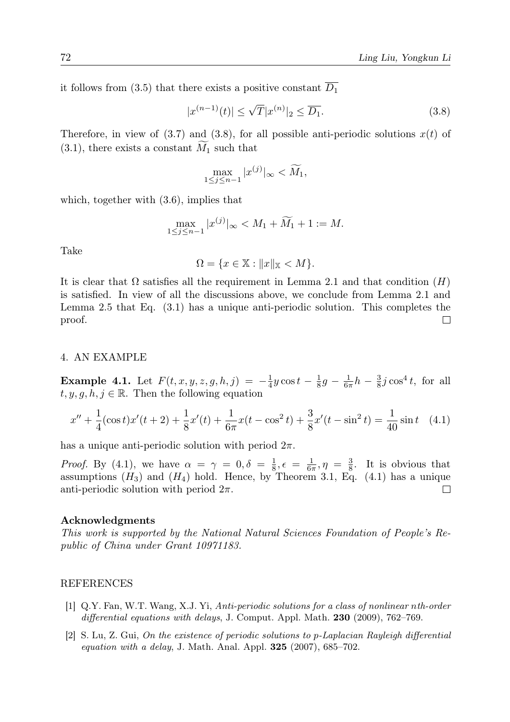it follows from (3.5) that there exists a positive constant  $\overline{D_1}$ 

$$
|x^{(n-1)}(t)| \le \sqrt{T} |x^{(n)}|_2 \le \overline{D_1}.
$$
\n(3.8)

Therefore, in view of  $(3.7)$  and  $(3.8)$ , for all possible anti-periodic solutions  $x(t)$  of  $(3.1)$ , there exists a constant  $M_1$  such that

$$
\max_{1 \le j \le n-1} |x^{(j)}|_{\infty} < \widetilde{M}_1,
$$

which, together with  $(3.6)$ , implies that

$$
\max_{1 \le j \le n-1} |x^{(j)}|_{\infty} < M_1 + \widetilde{M}_1 + 1 := M.
$$

Take

$$
\Omega = \{x \in \mathbb{X} : \|x\|_{\mathbb{X}} < M\}.
$$

It is clear that  $\Omega$  satisfies all the requirement in Lemma 2.1 and that condition  $(H)$ is satisfied. In view of all the discussions above, we conclude from Lemma 2.1 and Lemma 2.5 that Eq. (3.1) has a unique anti-periodic solution. This completes the proof.  $\Box$ 

## 4. AN EXAMPLE

**Example 4.1.** Let  $F(t, x, y, z, g, h, j) = -\frac{1}{4}y \cos t - \frac{1}{8}g - \frac{1}{6\pi}h - \frac{3}{8}j \cos^4 t$ , for all  $t, y, g, \hat{h}, j \in \mathbb{R}$ . Then the following equation

$$
x'' + \frac{1}{4}(\cos t)x'(t+2) + \frac{1}{8}x'(t) + \frac{1}{6\pi}x(t-\cos^2 t) + \frac{3}{8}x'(t-\sin^2 t) = \frac{1}{40}\sin t \quad (4.1)
$$

has a unique anti-periodic solution with period  $2\pi$ .

*Proof.* By (4.1), we have  $\alpha = \gamma = 0, \delta = \frac{1}{8}, \epsilon = \frac{1}{6\pi}, \eta = \frac{3}{8}$ . It is obvious that assumptions  $(H_3)$  and  $(H_4)$  hold. Hence, by Theorem 3.1, Eq. (4.1) has a unique anti-periodic solution with period  $2\pi$ .  $\Box$ 

#### Acknowledgments

*This work is supported by the National Natural Sciences Foundation of People's Republic of China under Grant 10971183.*

#### REFERENCES

- [1] Q.Y. Fan, W.T. Wang, X.J. Yi, *Anti-periodic solutions for a class of nonlinear* n*th-order differential equations with delays*, J. Comput. Appl. Math. 230 (2009), 762–769.
- [2] S. Lu, Z. Gui, *On the existence of periodic solutions to* p*-Laplacian Rayleigh differential equation with a delay*, J. Math. Anal. Appl. 325 (2007), 685–702.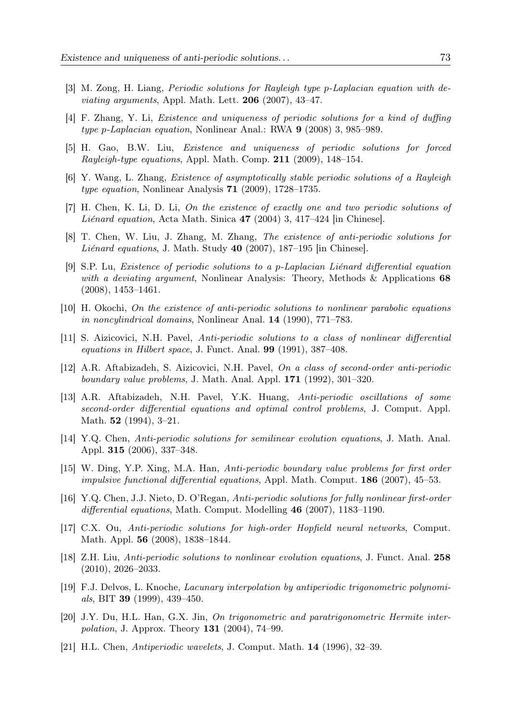- [3] M. Zong, H. Liang, *Periodic solutions for Rayleigh type* p*-Laplacian equation with deviating arguments*, Appl. Math. Lett. 206 (2007), 43–47.
- [4] F. Zhang, Y. Li, *Existence and uniqueness of periodic solutions for a kind of duffing type* p*-Laplacian equation*, Nonlinear Anal.: RWA 9 (2008) 3, 985–989.
- [5] H. Gao, B.W. Liu, *Existence and uniqueness of periodic solutions for forced Rayleigh-type equations*, Appl. Math. Comp. 211 (2009), 148–154.
- [6] Y. Wang, L. Zhang, *Existence of asymptotically stable periodic solutions of a Rayleigh type equation*, Nonlinear Analysis 71 (2009), 1728–1735.
- [7] H. Chen, K. Li, D. Li, *On the existence of exactly one and two periodic solutions of Liénard equation*, Acta Math. Sinica 47 (2004) 3, 417–424 [in Chinese].
- [8] T. Chen, W. Liu, J. Zhang, M. Zhang, *The existence of anti-periodic solutions for Liénard equations*, J. Math. Study 40 (2007), 187–195 [in Chinese].
- [9] S.P. Lu, *Existence of periodic solutions to a* p*-Laplacian Liénard differential equation with a deviating argument*, Nonlinear Analysis: Theory, Methods & Applications 68 (2008), 1453–1461.
- [10] H. Okochi, *On the existence of anti-periodic solutions to nonlinear parabolic equations in noncylindrical domains*, Nonlinear Anal. 14 (1990), 771–783.
- [11] S. Aizicovici, N.H. Pavel, *Anti-periodic solutions to a class of nonlinear differential equations in Hilbert space*, J. Funct. Anal. 99 (1991), 387–408.
- [12] A.R. Aftabizadeh, S. Aizicovici, N.H. Pavel, *On a class of second-order anti-periodic boundary value problems*, J. Math. Anal. Appl. 171 (1992), 301–320.
- [13] A.R. Aftabizadeh, N.H. Pavel, Y.K. Huang, *Anti-periodic oscillations of some second-order differential equations and optimal control problems*, J. Comput. Appl. Math. 52 (1994), 3–21.
- [14] Y.Q. Chen, *Anti-periodic solutions for semilinear evolution equations*, J. Math. Anal. Appl. 315 (2006), 337–348.
- [15] W. Ding, Y.P. Xing, M.A. Han, *Anti-periodic boundary value problems for first order impulsive functional differential equations*, Appl. Math. Comput. 186 (2007), 45–53.
- [16] Y.Q. Chen, J.J. Nieto, D. O'Regan, *Anti-periodic solutions for fully nonlinear first-order differential equations*, Math. Comput. Modelling 46 (2007), 1183–1190.
- [17] C.X. Ou, *Anti-periodic solutions for high-order Hopfield neural networks*, Comput. Math. Appl. 56 (2008), 1838–1844.
- [18] Z.H. Liu, *Anti-periodic solutions to nonlinear evolution equations*, J. Funct. Anal. 258 (2010), 2026–2033.
- [19] F.J. Delvos, L. Knoche, *Lacunary interpolation by antiperiodic trigonometric polynomials*, BIT 39 (1999), 439–450.
- [20] J.Y. Du, H.L. Han, G.X. Jin, *On trigonometric and paratrigonometric Hermite interpolation*, J. Approx. Theory 131 (2004), 74–99.
- [21] H.L. Chen, *Antiperiodic wavelets*, J. Comput. Math. 14 (1996), 32–39.